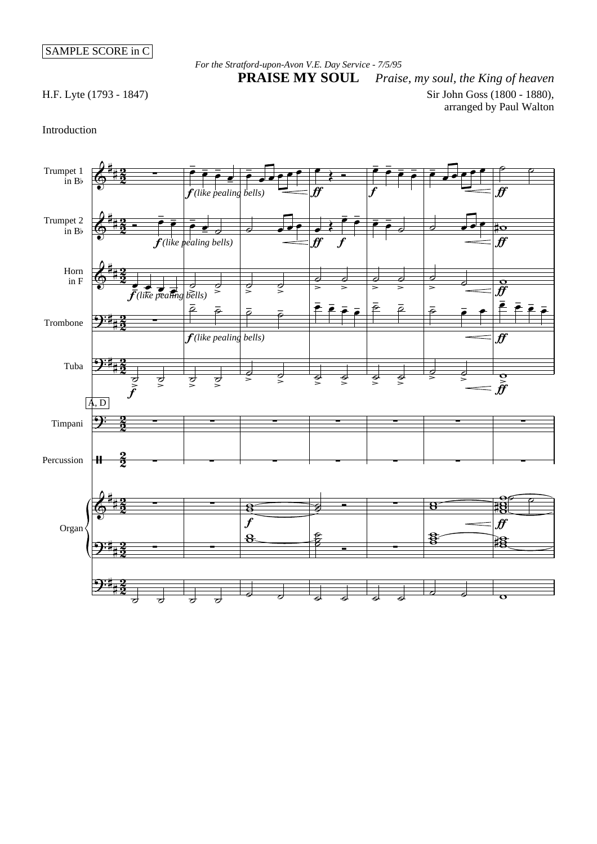## **PRAISE MY SOUL** *Praise, my soul, the King of heaven For the Stratford-upon-Avon V.E. Day Service - 7/5/95*

H.F. Lyte (1793 - 1847)

Sir John Goss (1800 - 1880), arranged by Paul Walton

## Introduction

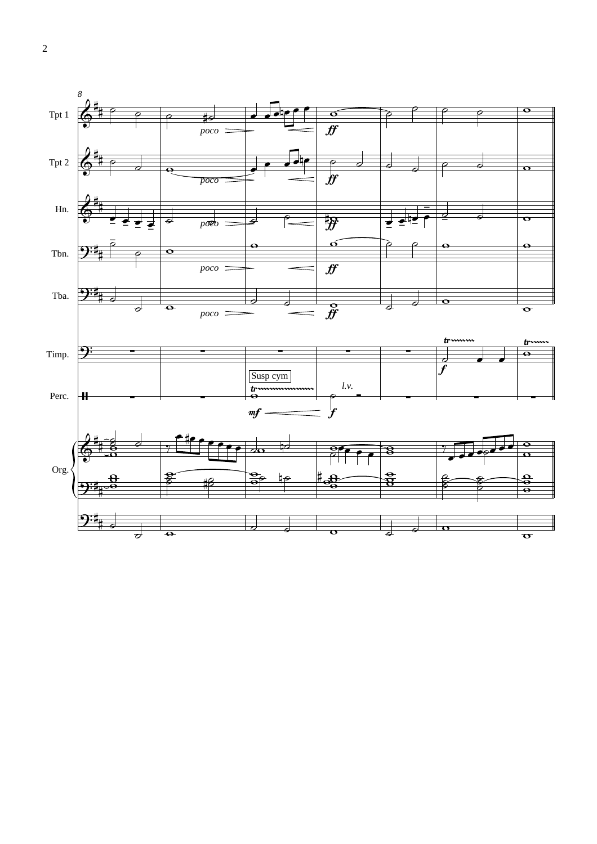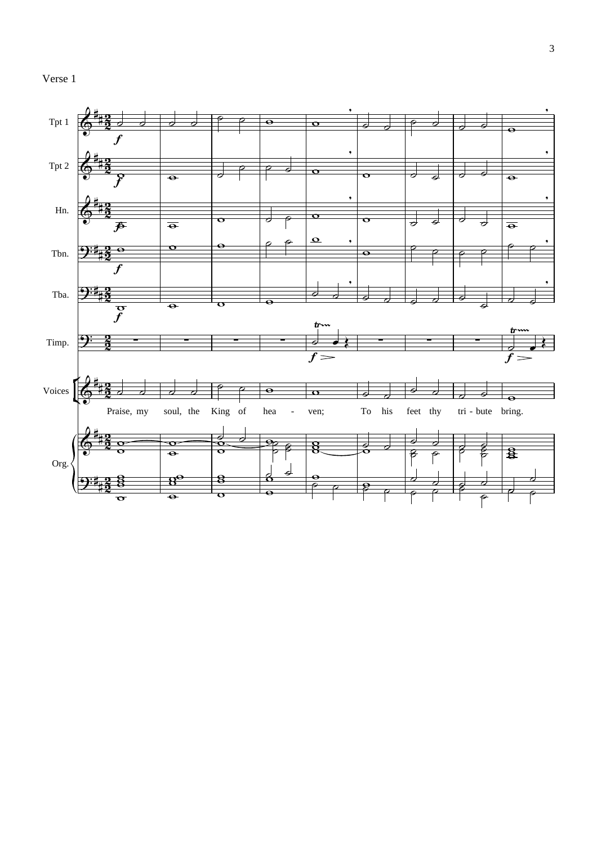

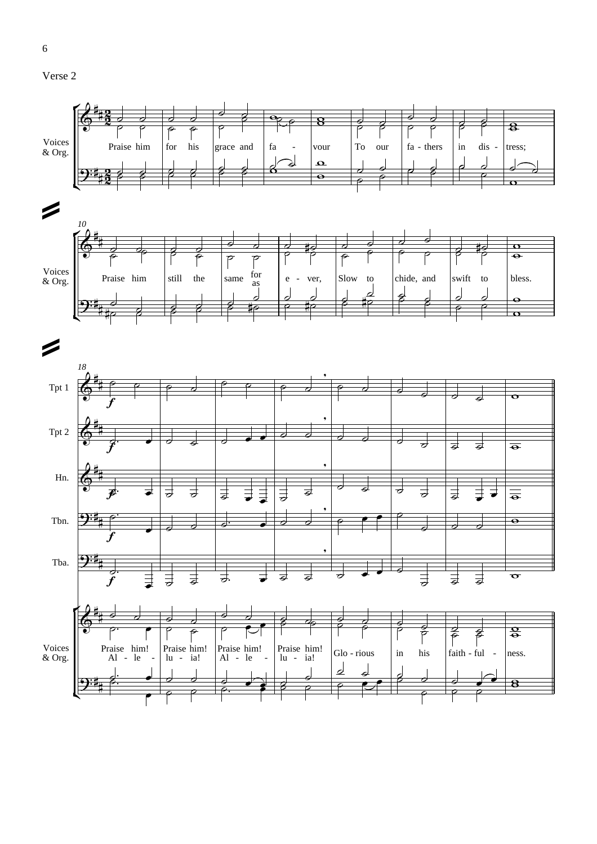



6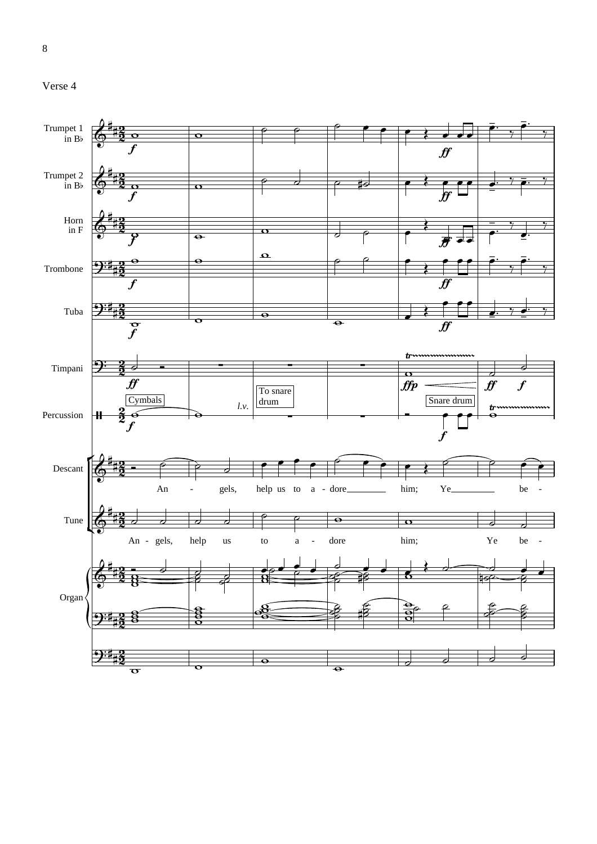

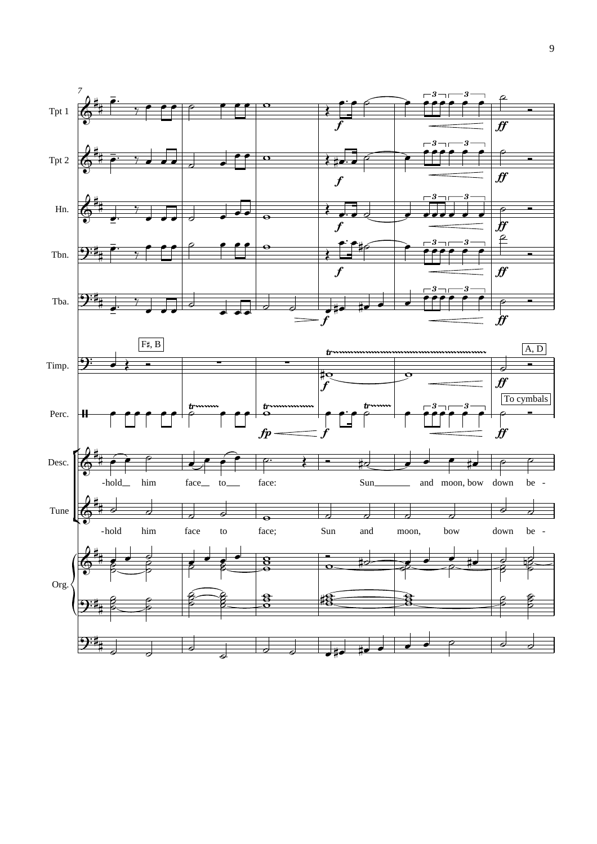